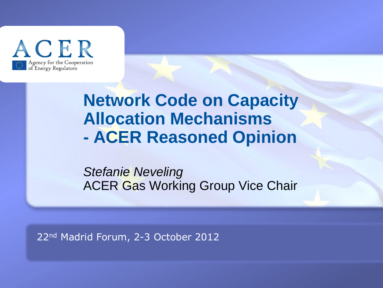

## **Network Code on Capacity Allocation Mechanisms - ACER Reasoned Opinion**

*Stefanie Neveling* ACER Gas Working Group Vice Chair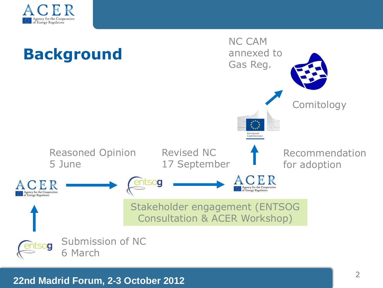

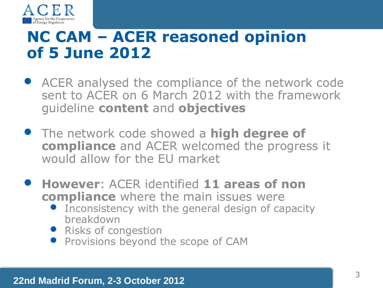

## **NC CAM – ACER reasoned opinion of 5 June 2012**

- ACER analysed the compliance of the network code sent to ACER on 6 March 2012 with the framework guideline **content** and **objectives**
- The network code showed a **high degree of compliance** and ACER welcomed the progress it would allow for the EU market
- **However**: ACER identified **11 areas of non compliance** where the main issues were
	- Inconsistency with the general design of capacity breakdown
	- Risks of congestion
	- Provisions beyond the scope of CAM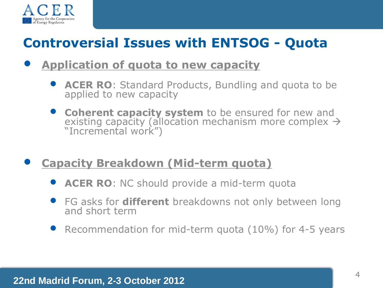

## **Controversial Issues with ENTSOG - Quota**

#### • **Application of quota to new capacity**

- **ACER RO**: Standard Products, Bundling and quota to be applied to new capacity
- **Coherent capacity system** to be ensured for new and existing capacity (allocation mechanism more complex  $\rightarrow$ "Incremental work")
- **Capacity Breakdown (Mid-term quota)**
	- **ACER RO**: NC should provide a mid-term quota
	- FG asks for **different** breakdowns not only between long and short term
	- Recommendation for mid-term quota (10%) for 4-5 years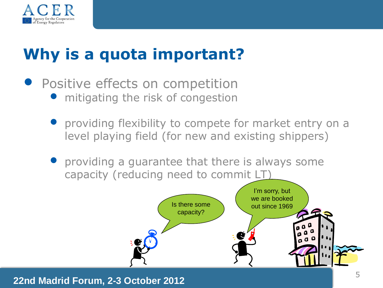

# **Why is a quota important?**

- **Positive effects on competition • mitigating the risk of congestion** 
	- providing flexibility to compete for market entry on a level playing field (for new and existing shippers)
	- providing a guarantee that there is always some capacity (reducing need to commit LT)

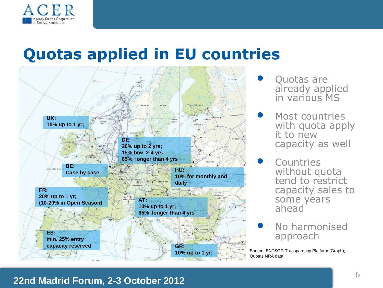

## **Quotas applied in EU countries**



- Quotas are already applied in various MS
- Most countries with quota apply it to new capacity as well
- **Countries** without quota tend to restrict capacity sales to some years ahead
- No harmonised approach

Source: ENTSOG Transparency Platform (Graph); Quotas NRA data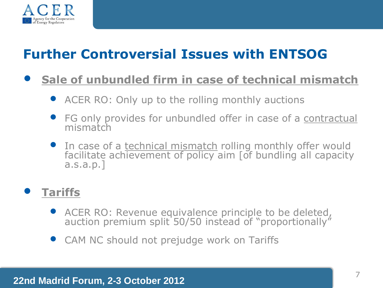

## **Further Controversial Issues with ENTSOG**

#### • **Sale of unbundled firm in case of technical mismatch**

- ACER RO: Only up to the rolling monthly auctions
- FG only provides for unbundled offer in case of a contractual mismatch
- In case of a technical mismatch rolling monthly offer would facilitate achievement of policy aim [of bundling all capacity a.s.a.p.]

#### • **Tariffs**

- ACER RO: Revenue equivalence principle to be deleted, auction premium split 50/50 instead of "proportionally"
- CAM NC should not prejudge work on Tariffs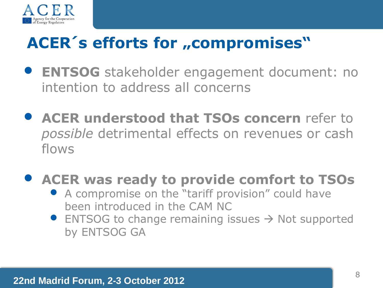

# ACER's efforts for "compromises"

- **ENTSOG** stakeholder engagement document: no intention to address all concerns
- **ACER understood that TSOs concern** refer to *possible* detrimental effects on revenues or cash flows
- **ACER was ready to provide comfort to TSOs**
	- A compromise on the "tariff provision" could have been introduced in the CAM NC
	- ENTSOG to change remaining issues  $\rightarrow$  Not supported by ENTSOG GA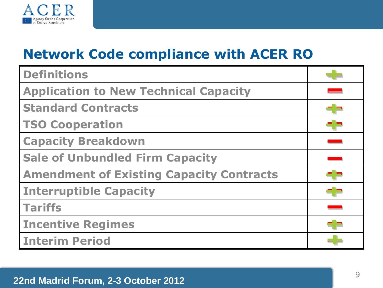

### **Network Code compliance with ACER RO**

| <b>Definitions</b>                              |  |
|-------------------------------------------------|--|
| <b>Application to New Technical Capacity</b>    |  |
| <b>Standard Contracts</b>                       |  |
| <b>TSO Cooperation</b>                          |  |
| <b>Capacity Breakdown</b>                       |  |
| <b>Sale of Unbundled Firm Capacity</b>          |  |
| <b>Amendment of Existing Capacity Contracts</b> |  |
| <b>Interruptible Capacity</b>                   |  |
| <b>Tariffs</b>                                  |  |
| <b>Incentive Regimes</b>                        |  |
| <b>Interim Period</b>                           |  |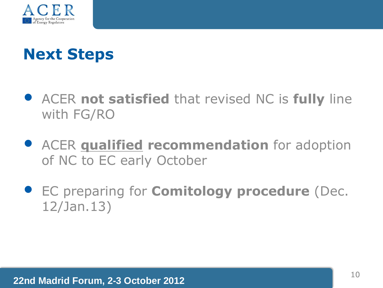

## **Next Steps**

- ACER **not satisfied** that revised NC is **fully** line with FG/RO
- ACER **qualified recommendation** for adoption of NC to EC early October
- EC preparing for **Comitology procedure** (Dec. 12/Jan.13)